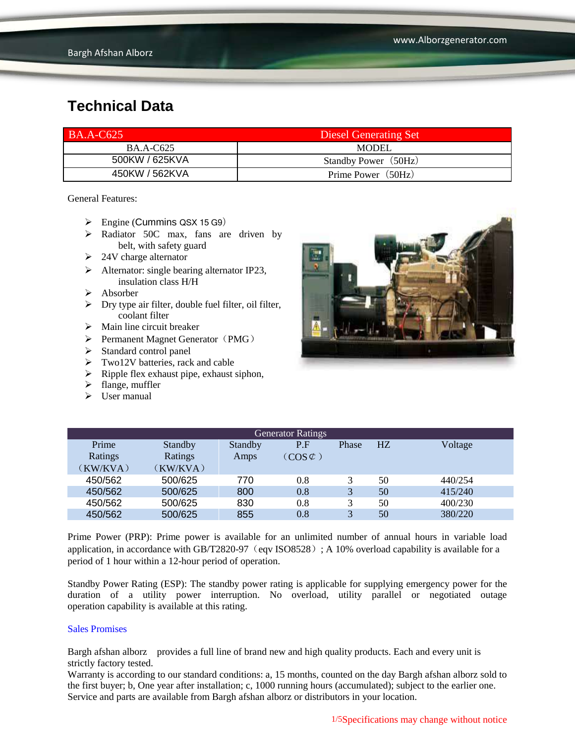| <b>BA.A-C625</b> | <b>Diesel Generating Set</b> |
|------------------|------------------------------|
| <b>BA.A-C625</b> | <b>MODEL</b>                 |
| 500KW / 625KVA   | Standby Power (50Hz)         |
| 450KW / 562KVA   | Prime Power (50Hz)           |

General Features:

- $\triangleright$  Engine (Cummins QSX 15 G9)
- > Radiator 50C max, fans are driven by belt, with safety guard
- $\geq 24V$  charge alternator
- $\triangleright$  Alternator: single bearing alternator IP23, insulation class H/H
- $\triangleright$  Absorber
- $\triangleright$  Dry type air filter, double fuel filter, oil filter, coolant filter
- $\triangleright$  Main line circuit breaker
- $\triangleright$  Permanent Magnet Generator (PMG)
- > Standard control panel
- $\triangleright$  Two12V batteries, rack and cable
- $\triangleright$  Ripple flex exhaust pipe, exhaust siphon,
- $\blacktriangleright$  flange, muffler
- $\triangleright$  User manual



| <b>Generator Ratings</b> |          |         |                     |       |    |         |
|--------------------------|----------|---------|---------------------|-------|----|---------|
| Prime                    | Standby  | Standby | P.F                 | Phase | HZ | Voltage |
| Ratings                  | Ratings  | Amps    | $(COS \mathcal{C})$ |       |    |         |
| (KW/KVA)                 | (KW/KVA) |         |                     |       |    |         |
| 450/562                  | 500/625  | 770     | 0.8                 |       | 50 | 440/254 |
| 450/562                  | 500/625  | 800     | 0.8                 | 3     | 50 | 415/240 |
| 450/562                  | 500/625  | 830     | 0.8                 | 3     | 50 | 400/230 |
| 450/562                  | 500/625  | 855     | 0.8                 | 3     | 50 | 380/220 |

Prime Power (PRP): Prime power is available for an unlimited number of annual hours in variable load application, in accordance with GB/T2820-97 (eqv ISO8528); A 10% overload capability is available for a period of 1 hour within a 12-hour period of operation.

Standby Power Rating (ESP): The standby power rating is applicable for supplying emergency power for the duration of a utility power interruption. No overload, utility parallel or negotiated outage operation capability is available at this rating.

#### Sales Promises

Bargh afshan alborz provides a full line of brand new and high quality products. Each and every unit is strictly factory tested.

Warranty is according to our standard conditions: a, 15 months, counted on the day Bargh afshan alborz sold to the first buyer; b, One year after installation; c, 1000 running hours (accumulated); subject to the earlier one. Service and parts are available from Bargh afshan alborz or distributors in your location.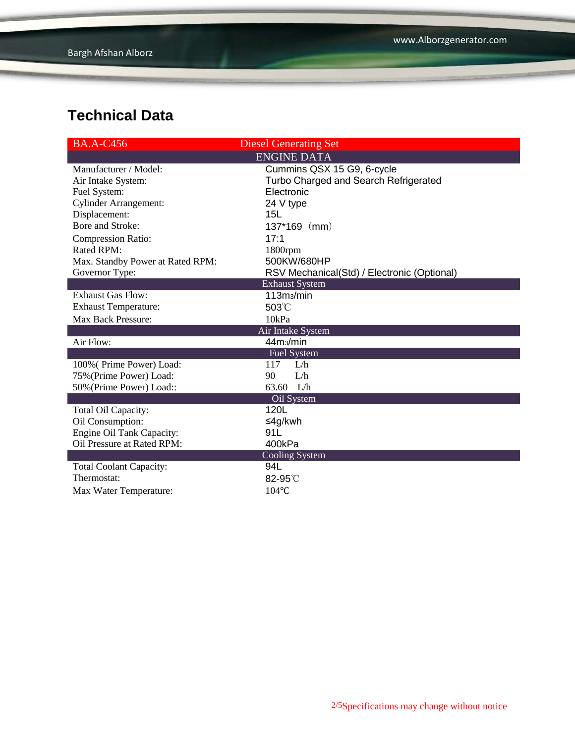| <b>BA.A-C456</b>                 | <b>Diesel Generating Set</b>                |
|----------------------------------|---------------------------------------------|
|                                  | <b>ENGINE DATA</b>                          |
| Manufacturer / Model:            | Cummins QSX 15 G9, 6-cycle                  |
| Air Intake System:               | Turbo Charged and Search Refrigerated       |
| Fuel System:                     | Electronic                                  |
| <b>Cylinder Arrangement:</b>     | 24 V type                                   |
| Displacement:                    | 15L                                         |
| Bore and Stroke:                 | $137*169$ (mm)                              |
| <b>Compression Ratio:</b>        | 17:1                                        |
| Rated RPM:                       | 1800rpm                                     |
| Max. Standby Power at Rated RPM: | 500KW/680HP                                 |
| Governor Type:                   | RSV Mechanical(Std) / Electronic (Optional) |
|                                  | <b>Exhaust System</b>                       |
| <b>Exhaust Gas Flow:</b>         | 113m <sub>3</sub> /min                      |
| <b>Exhaust Temperature:</b>      | 503°C                                       |
| <b>Max Back Pressure:</b>        | 10kPa                                       |
|                                  | Air Intake System                           |
| Air Flow:                        | 44m <sub>3</sub> /min                       |
|                                  | <b>Fuel System</b>                          |
| 100% (Prime Power) Load:         | L/h<br>117                                  |
| 75% (Prime Power) Load:          | 90<br>L/h                                   |
| 50% (Prime Power) Load::         | L/h<br>63.60                                |
|                                  | Oil System                                  |
| Total Oil Capacity:              | 120L                                        |
| Oil Consumption:                 | ≤4g/kwh                                     |
| Engine Oil Tank Capacity:        | 91L                                         |
| Oil Pressure at Rated RPM:       | 400kPa                                      |
|                                  | Cooling System                              |
| <b>Total Coolant Capacity:</b>   | 94L                                         |
| Thermostat:                      | 82-95°C                                     |
| Max Water Temperature:           | 104°C                                       |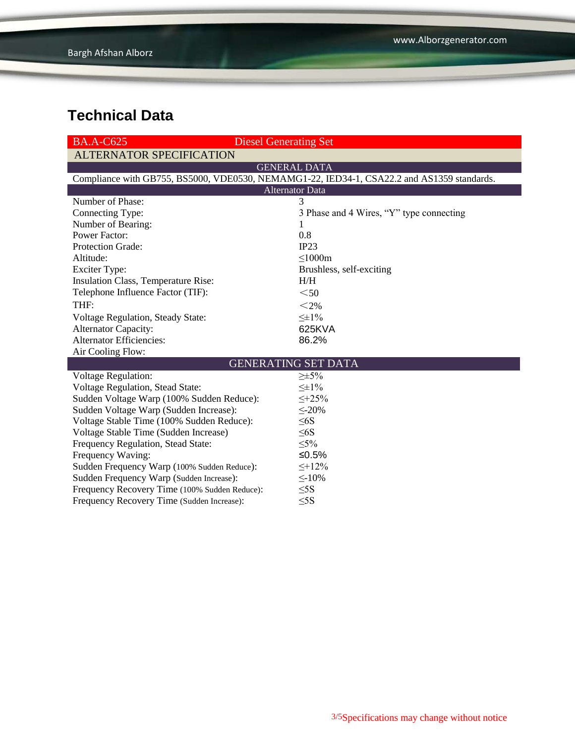| <b>BA.A-C625</b>                              | <b>Diesel Generating Set</b>                                                               |  |  |  |
|-----------------------------------------------|--------------------------------------------------------------------------------------------|--|--|--|
| <b>ALTERNATOR SPECIFICATION</b>               |                                                                                            |  |  |  |
|                                               | <b>GENERAL DATA</b>                                                                        |  |  |  |
|                                               | Compliance with GB755, BS5000, VDE0530, NEMAMG1-22, IED34-1, CSA22.2 and AS1359 standards. |  |  |  |
| <b>Alternator Data</b>                        |                                                                                            |  |  |  |
| Number of Phase:                              | 3                                                                                          |  |  |  |
| Connecting Type:                              | 3 Phase and 4 Wires, "Y" type connecting                                                   |  |  |  |
| Number of Bearing:                            | 1                                                                                          |  |  |  |
| <b>Power Factor:</b>                          | 0.8                                                                                        |  |  |  |
| Protection Grade:                             | IP23                                                                                       |  |  |  |
| Altitude:                                     | $\leq$ 1000m                                                                               |  |  |  |
| <b>Exciter Type:</b>                          | Brushless, self-exciting                                                                   |  |  |  |
| Insulation Class, Temperature Rise:           | H/H                                                                                        |  |  |  |
| Telephone Influence Factor (TIF):             | $50$                                                                                       |  |  |  |
| THF:                                          | $<$ 2%                                                                                     |  |  |  |
| Voltage Regulation, Steady State:             | $\leq \pm 1\%$                                                                             |  |  |  |
| <b>Alternator Capacity:</b>                   | 625KVA                                                                                     |  |  |  |
| <b>Alternator Efficiencies:</b>               | 86.2%                                                                                      |  |  |  |
| Air Cooling Flow:                             |                                                                                            |  |  |  |
|                                               | <b>GENERATING SET DATA</b>                                                                 |  |  |  |
| <b>Voltage Regulation:</b>                    | $\geq \pm 5\%$                                                                             |  |  |  |
| Voltage Regulation, Stead State:              | $\leq \pm 1\%$                                                                             |  |  |  |
| Sudden Voltage Warp (100% Sudden Reduce):     | $\leq +25\%$                                                                               |  |  |  |
| Sudden Voltage Warp (Sudden Increase):        | $\leq$ -20%                                                                                |  |  |  |
| Voltage Stable Time (100% Sudden Reduce):     | $\leq 6S$                                                                                  |  |  |  |
| Voltage Stable Time (Sudden Increase)         | $\leq 6S$                                                                                  |  |  |  |
| Frequency Regulation, Stead State:            | $\leq 5\%$                                                                                 |  |  |  |
| Frequency Waving:                             | ≤ $0.5%$                                                                                   |  |  |  |
| Sudden Frequency Warp (100% Sudden Reduce):   | $\leq +12\%$                                                                               |  |  |  |
| Sudden Frequency Warp (Sudden Increase):      | $\leq$ -10%                                                                                |  |  |  |
| Frequency Recovery Time (100% Sudden Reduce): | $\leq$ 5S                                                                                  |  |  |  |
| Frequency Recovery Time (Sudden Increase):    | $\leq$ 5S                                                                                  |  |  |  |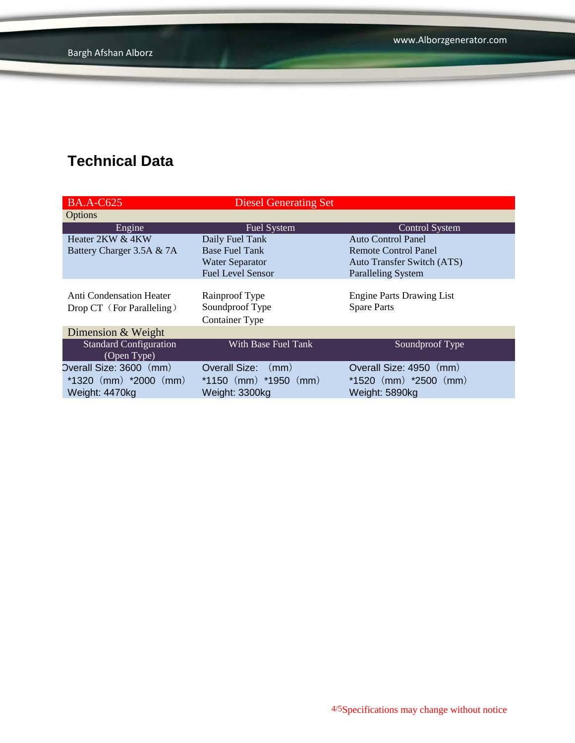| <b>BA.A-C625</b>              | <b>Diesel Generating Set</b> |                                   |
|-------------------------------|------------------------------|-----------------------------------|
| <b>Options</b>                |                              |                                   |
| Engine                        | <b>Fuel System</b>           | <b>Control System</b>             |
| Heater 2KW & 4KW              | Daily Fuel Tank              | Auto Control Panel                |
| Battery Charger 3.5A & 7A     | <b>Base Fuel Tank</b>        | <b>Remote Control Panel</b>       |
|                               | <b>Water Separator</b>       | <b>Auto Transfer Switch (ATS)</b> |
|                               | <b>Fuel Level Sensor</b>     | <b>Paralleling System</b>         |
|                               |                              |                                   |
| Anti Condensation Heater      | Rainproof Type               | <b>Engine Parts Drawing List</b>  |
| Drop CT (For Paralleling)     | Soundproof Type              | <b>Spare Parts</b>                |
|                               | <b>Container Type</b>        |                                   |
| Dimension & Weight            |                              |                                   |
| <b>Standard Configuration</b> | With Base Fuel Tank          | Soundproof Type                   |
| (Open Type)                   |                              |                                   |
| Overall Size: 3600 (mm)       | Overall Size:<br>(mm)        | Overall Size: 4950 (mm)           |
| $*1320$ (mm) $*2000$ (mm)     | $*1150$ (mm) $*1950$ (mm)    | $*1520$ (mm) $*2500$ (mm)         |
| Weight: 4470kg                | Weight: 3300kg               | Weight: 5890kg                    |